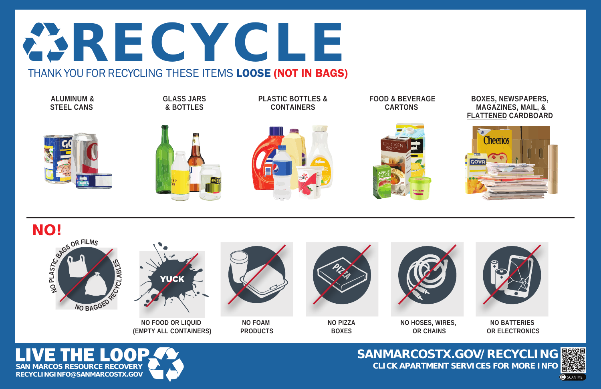#### **SANMARCOSTX.GOV/RECYCLING CLICK APARTMENT SERVICES FOR MORE INFO**





**OR ELECTRONICS**



**OR CHAINS**







**FOOD & BEVERAGE CARTONS** 







**PLASTIC BOTTLES & CONTAINERS** 

**GLASS JARS & BOTTLES** 

**ALUMINUM & STEEL CANS** 



#### THANK YOU FOR RECYCLING THESE ITEMS LOOSE (NOT IN BAGS)